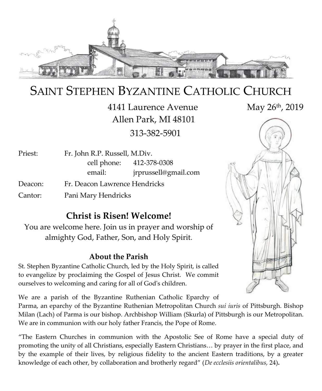

# SAINT STEPHEN BYZANTINE CATHOLIC CHURCH

4141 Laurence Avenue May 26<sup>th</sup>, 2019 Allen Park, MI 48101 313-382-5901

Priest: Fr. John R.P. Russell, M.Div. cell phone: 412-378-0308 email: jrprussell@gmail.com Deacon: Fr. Deacon Lawrence Hendricks

Cantor: Pani Mary Hendricks

#### **Christ is Risen! Welcome!**

You are welcome here. Join us in prayer and worship of almighty God, Father, Son, and Holy Spirit.

#### **About the Parish**

St. Stephen Byzantine Catholic Church, led by the Holy Spirit, is called to evangelize by proclaiming the Gospel of Jesus Christ. We commit ourselves to welcoming and caring for all of God's children.

We are a parish of the Byzantine Ruthenian Catholic Eparchy of

Parma, an eparchy of the Byzantine Ruthenian Metropolitan Church *sui iuris* of Pittsburgh. Bishop Milan (Lach) of Parma is our bishop. Archbishop William (Skurla) of Pittsburgh is our Metropolitan. We are in communion with our holy father Francis, the Pope of Rome.

"The Eastern Churches in communion with the Apostolic See of Rome have a special duty of promoting the unity of all Christians, especially Eastern Christians… by prayer in the first place, and by the example of their lives, by religious fidelity to the ancient Eastern traditions, by a greater knowledge of each other, by collaboration and brotherly regard" (*De ecclesiis orientalibus,* 24)**.**

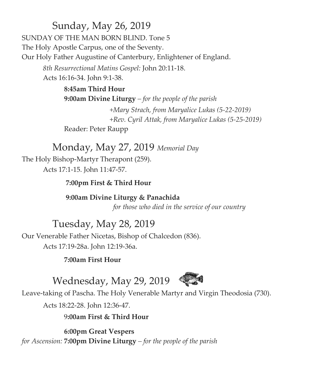### Sunday, May 26, 2019

SUNDAY OF THE MAN BORN BLIND. Tone 5 The Holy Apostle Carpus, one of the Seventy. Our Holy Father Augustine of Canterbury, Enlightener of England. *8th Resurrectional Matins Gospel:* John 20:11-18.

Acts 16:16-34. John 9:1-38.

**8:45am Third Hour 9:00am Divine Liturgy** *– for the people of the parish +Mary Strach, from Maryalice Lukas (5-22-2019) +Rev. Cyril Attak, from Maryalice Lukas (5-25-2019)* Reader: Peter Raupp

### Monday, May 27, 2019 *Memorial Day*

The Holy Bishop-Martyr Therapont (259). Acts 17:1-15. John 11:47-57.

 **7:00pm First & Third Hour**

 **9:00am Divine Liturgy & Panachida**

 *for those who died in the service of our country*

Tuesday, May 28, 2019

Our Venerable Father Nicetas, Bishop of Chalcedon (836).

Acts 17:19-28a. John 12:19-36a.

**7:00am First Hour**



Wednesday, May 29, 2019

Leave-taking of Pascha. The Holy Venerable Martyr and Virgin Theodosia (730).

Acts 18:22-28. John 12:36-47.

9**:00am First & Third Hour**

**6:00pm Great Vespers** *for Ascension:* **7:00pm Divine Liturgy** *– for the people of the parish*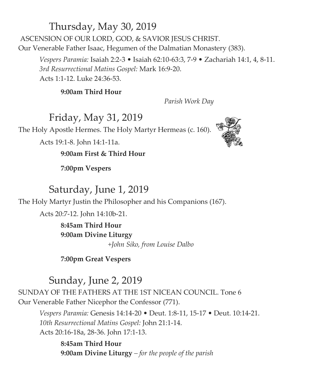### Thursday, May 30, 2019

ASCENSION OF OUR LORD, GOD, & SAVIOR JESUS CHRIST. Our Venerable Father Isaac, Hegumen of the Dalmatian Monastery (383).

*Vespers Paramia:* Isaiah 2:2-3 • Isaiah 62:10-63:3, 7-9 • Zachariah 14:1, 4, 8-11. *3rd Resurrectional Matins Gospel:* Mark 16:9-20. Acts 1:1-12. Luke 24:36-53.

#### **9:00am Third Hour**

 *Parish Work Day*

#### Friday, May 31, 2019

The Holy Apostle Hermes. The Holy Martyr Hermeas (c. 160).

Acts 19:1-8. John 14:1-11a.

#### **9:00am First & Third Hour**

**7:00pm Vespers**

#### Saturday, June 1, 2019

The Holy Martyr Justin the Philosopher and his Companions (167).

Acts 20:7-12. John 14:10b-21.

**8:45am Third Hour 9:00am Divine Liturgy**  *+John Siko, from Louise Dalbo*

**7:00pm Great Vespers**

#### Sunday, June 2, 2019

SUNDAY OF THE FATHERS AT THE 1ST NICEAN COUNCIL. Tone 6 Our Venerable Father Nicephor the Confessor (771).

*Vespers Paramia:* Genesis 14:14-20 • Deut. 1:8-11, 15-17 • Deut. 10:14-21. *10th Resurrectional Matins Gospel:* John 21:1-14. Acts 20:16-18a, 28-36. John 17:1-13.

**8:45am Third Hour 9:00am Divine Liturgy** *– for the people of the parish*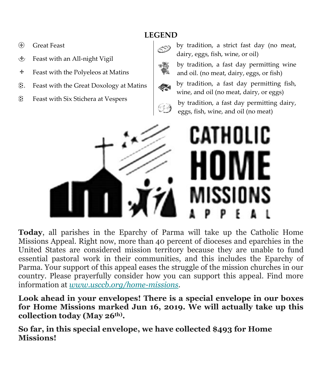#### **LEGEND**

- Great Feast
- Feast with an All-night Vigil
- $\div$  Feast with the Polyeleos at Matins
- . Feast with the Great Doxology at Matins
- Feast with Six Stichera at Vespers



by tradition, a strict fast day (no meat, dairy, eggs, fish, wine, or oil)

by tradition, a fast day permitting wine and oil. (no meat, dairy, eggs, or fish)



by tradition, a fast day permitting dairy, eggs, fish, wine, and oil (no meat)



**Today**, all parishes in the Eparchy of Parma will take up the Catholic Home Missions Appeal. Right now, more than 40 percent of dioceses and eparchies in the United States are considered mission territory because they are unable to fund essential pastoral work in their communities, and this includes the Eparchy of Parma. Your support of this appeal eases the struggle of the mission churches in our country. Please prayerfully consider how you can support this appeal. Find more information at *[www.usccb.org/home-missions](https://facebook.us16.list-manage.com/track/click?u=6e5a93387e6a70d81758beac5&id=a585c496bd&e=13dc79cb87)*.

**Look ahead in your envelopes! There is a special envelope in our boxes for Home Missions marked Jun 16, 2019. We will actually take up this collection today (May 26th) .** 

**So far, in this special envelope, we have collected \$493 for Home Missions!**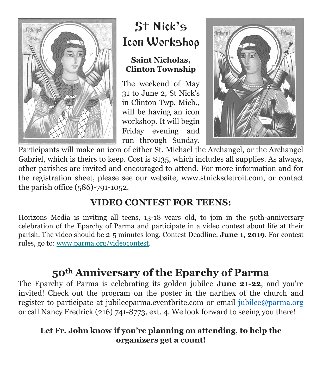

# St Nick**'**s Icon Workshop

#### **Saint Nicholas, Clinton Township**

The weekend of May 31 to June 2, St Nick's in Clinton Twp, Mich., will be having an icon workshop. It will begin Friday evening and run through Sunday.



Participants will make an icon of either St. Michael the Archangel, or the Archangel Gabriel, which is theirs to keep. Cost is \$135, which includes all supplies. As always, other parishes are invited and encouraged to attend. For more information and for the registration sheet, please see our website, www.stnicksdetroit.com, or contact the parish office (586)-791-1052.

### **VIDEO CONTEST FOR TEENS:**

Horizons Media is inviting all teens, 13-18 years old, to join in the 50th-anniversary celebration of the Eparchy of Parma and participate in a video contest about life at their parish. The video should be 2-5 minutes long. Contest Deadline: **June 1, 2019**. For contest rules, go to: [www.parma.org/videocontest.](https://facebook.us16.list-manage.com/track/click?u=6e5a93387e6a70d81758beac5&id=ff3efe37ab&e=13dc79cb87)

# **50th Anniversary of the Eparchy of Parma**

The Eparchy of Parma is celebrating its golden jubilee **June 21-22**, and you're invited! Check out the program on the poster in the narthex of the church and register to participate at jubileeparma.eventbrite.com or email [jubilee@parma.org](mailto:jubilee@parma.org) or call Nancy Fredrick (216) 741-8773, ext. 4. We look forward to seeing you there!

#### **Let Fr. John know if you're planning on attending, to help the organizers get a count!**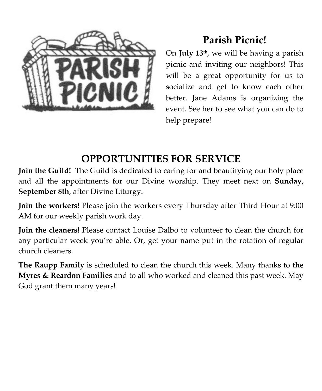

# **Parish Picnic!**

On **July 13th**, we will be having a parish picnic and inviting our neighbors! This will be a great opportunity for us to socialize and get to know each other better. Jane Adams is organizing the event. See her to see what you can do to help prepare!

# **OPPORTUNITIES FOR SERVICE**

**Join the Guild!** The Guild is dedicated to caring for and beautifying our holy place and all the appointments for our Divine worship. They meet next on **Sunday, September 8th**, after Divine Liturgy.

**Join the workers!** Please join the workers every Thursday after Third Hour at 9:00 AM for our weekly parish work day.

**Join the cleaners!** Please contact Louise Dalbo to volunteer to clean the church for any particular week you're able. Or, get your name put in the rotation of regular church cleaners.

**The Raupp Family** is scheduled to clean the church this week. Many thanks to **the Myres & Reardon Families** and to all who worked and cleaned this past week. May God grant them many years!